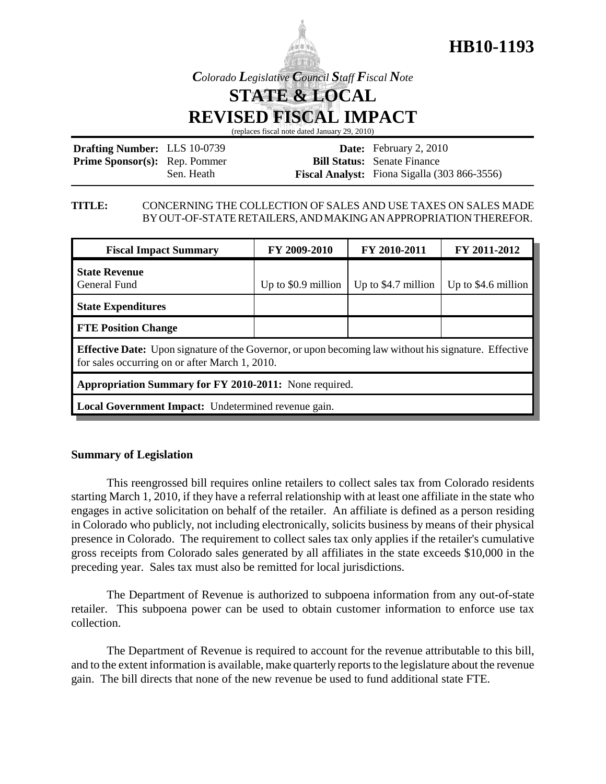

*Colorado Legislative Council Staff Fiscal Note* **STATE & LOCAL**

**REVISED FISCAL IMPACT**

(replaces fiscal note dated January 29, 2010)

| <b>Drafting Number:</b> LLS 10-0739  |            | <b>Date:</b> February 2, 2010                       |
|--------------------------------------|------------|-----------------------------------------------------|
| <b>Prime Sponsor(s):</b> Rep. Pommer |            | <b>Bill Status:</b> Senate Finance                  |
|                                      | Sen. Heath | <b>Fiscal Analyst:</b> Fiona Sigalla (303 866-3556) |

#### **TITLE:** CONCERNING THE COLLECTION OF SALES AND USE TAXES ON SALES MADE BY OUT-OF-STATE RETAILERS, AND MAKING AN APPROPRIATION THEREFOR.

| <b>Fiscal Impact Summary</b>                                                                                                                                   | FY 2009-2010         | FY 2010-2011         | FY 2011-2012         |  |  |
|----------------------------------------------------------------------------------------------------------------------------------------------------------------|----------------------|----------------------|----------------------|--|--|
| <b>State Revenue</b><br>General Fund                                                                                                                           | Up to $$0.9$ million | Up to $$4.7$ million | Up to $$4.6$ million |  |  |
| <b>State Expenditures</b>                                                                                                                                      |                      |                      |                      |  |  |
| <b>FTE Position Change</b>                                                                                                                                     |                      |                      |                      |  |  |
| <b>Effective Date:</b> Upon signature of the Governor, or upon becoming law without his signature. Effective<br>for sales occurring on or after March 1, 2010. |                      |                      |                      |  |  |
| Appropriation Summary for FY 2010-2011: None required.                                                                                                         |                      |                      |                      |  |  |
| Local Government Impact: Undetermined revenue gain.                                                                                                            |                      |                      |                      |  |  |

# **Summary of Legislation**

This reengrossed bill requires online retailers to collect sales tax from Colorado residents starting March 1, 2010, if they have a referral relationship with at least one affiliate in the state who engages in active solicitation on behalf of the retailer. An affiliate is defined as a person residing in Colorado who publicly, not including electronically, solicits business by means of their physical presence in Colorado. The requirement to collect sales tax only applies if the retailer's cumulative gross receipts from Colorado sales generated by all affiliates in the state exceeds \$10,000 in the preceding year. Sales tax must also be remitted for local jurisdictions.

The Department of Revenue is authorized to subpoena information from any out-of-state retailer. This subpoena power can be used to obtain customer information to enforce use tax collection.

The Department of Revenue is required to account for the revenue attributable to this bill, and to the extent information is available, make quarterly reports to the legislature about the revenue gain. The bill directs that none of the new revenue be used to fund additional state FTE.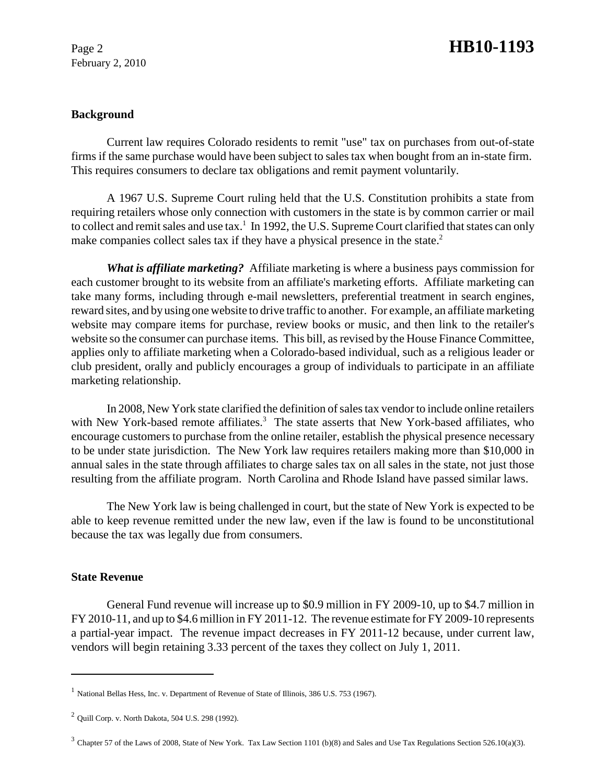February 2, 2010

## **Background**

Current law requires Colorado residents to remit "use" tax on purchases from out-of-state firms if the same purchase would have been subject to sales tax when bought from an in-state firm. This requires consumers to declare tax obligations and remit payment voluntarily.

A 1967 U.S. Supreme Court ruling held that the U.S. Constitution prohibits a state from requiring retailers whose only connection with customers in the state is by common carrier or mail to collect and remit sales and use tax.<sup>1</sup> In 1992, the U.S. Supreme Court clarified that states can only make companies collect sales tax if they have a physical presence in the state.<sup>2</sup>

*What is affiliate marketing?* Affiliate marketing is where a business pays commission for each customer brought to its website from an affiliate's marketing efforts. Affiliate marketing can take many forms, including through e-mail newsletters, preferential treatment in search engines, reward sites, and by using one website to drive traffic to another. For example, an affiliate marketing website may compare items for purchase, review books or music, and then link to the retailer's website so the consumer can purchase items. This bill, as revised by the House Finance Committee, applies only to affiliate marketing when a Colorado-based individual, such as a religious leader or club president, orally and publicly encourages a group of individuals to participate in an affiliate marketing relationship.

In 2008, New York state clarified the definition of sales tax vendor to include online retailers with New York-based remote affiliates.<sup>3</sup> The state asserts that New York-based affiliates, who encourage customers to purchase from the online retailer, establish the physical presence necessary to be under state jurisdiction. The New York law requires retailers making more than \$10,000 in annual sales in the state through affiliates to charge sales tax on all sales in the state, not just those resulting from the affiliate program. North Carolina and Rhode Island have passed similar laws.

The New York law is being challenged in court, but the state of New York is expected to be able to keep revenue remitted under the new law, even if the law is found to be unconstitutional because the tax was legally due from consumers.

#### **State Revenue**

General Fund revenue will increase up to \$0.9 million in FY 2009-10, up to \$4.7 million in FY 2010-11, and up to \$4.6 million in FY 2011-12. The revenue estimate for FY 2009-10 represents a partial-year impact. The revenue impact decreases in FY 2011-12 because, under current law, vendors will begin retaining 3.33 percent of the taxes they collect on July 1, 2011.

<sup>&</sup>lt;sup>1</sup> National Bellas Hess, Inc. v. Department of Revenue of State of Illinois, 386 U.S. 753 (1967).

<sup>2</sup> Quill Corp. v. North Dakota, 504 U.S. 298 (1992).

 $3$  Chapter 57 of the Laws of 2008, State of New York. Tax Law Section 1101 (b)(8) and Sales and Use Tax Regulations Section 526.10(a)(3).